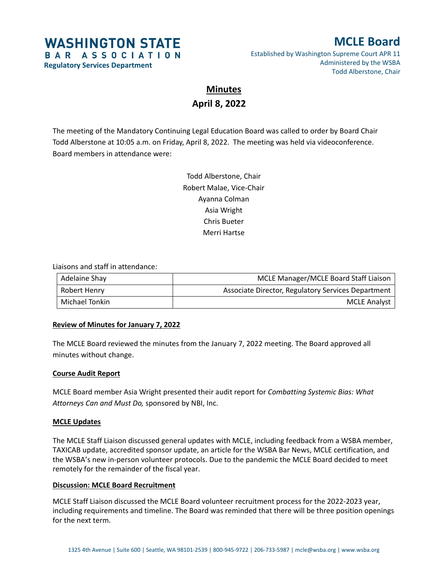# **WASHINGTON STATE** BAR ASSOCIATION

**Regulatory Services Department**

# **MCLE Board**

Established by Washington Supreme Court APR 11 Administered by the WSBA Todd Alberstone, Chair

# **Minutes April 8, 2022**

The meeting of the Mandatory Continuing Legal Education Board was called to order by Board Chair Todd Alberstone at 10:05 a.m. on Friday, April 8, 2022. The meeting was held via videoconference. Board members in attendance were:

> Todd Alberstone, Chair Robert Malae, Vice-Chair Ayanna Colman Asia Wright Chris Bueter Merri Hartse

### Liaisons and staff in attendance:

| Adelaine Shay  | MCLE Manager/MCLE Board Staff Liaison              |
|----------------|----------------------------------------------------|
| Robert Henry   | Associate Director, Regulatory Services Department |
| Michael Tonkin | <b>MCLE Analyst</b>                                |

## **Review of Minutes for January 7, 2022**

The MCLE Board reviewed the minutes from the January 7, 2022 meeting. The Board approved all minutes without change.

## **Course Audit Report**

MCLE Board member Asia Wright presented their audit report for *Combatting Systemic Bias: What Attorneys Can and Must Do,* sponsored by NBI, Inc.

## **MCLE Updates**

The MCLE Staff Liaison discussed general updates with MCLE, including feedback from a WSBA member, TAXICAB update, accredited sponsor update, an article for the WSBA Bar News, MCLE certification, and the WSBA's new in-person volunteer protocols. Due to the pandemic the MCLE Board decided to meet remotely for the remainder of the fiscal year.

## **Discussion: MCLE Board Recruitment**

MCLE Staff Liaison discussed the MCLE Board volunteer recruitment process for the 2022-2023 year, including requirements and timeline. The Board was reminded that there will be three position openings for the next term.